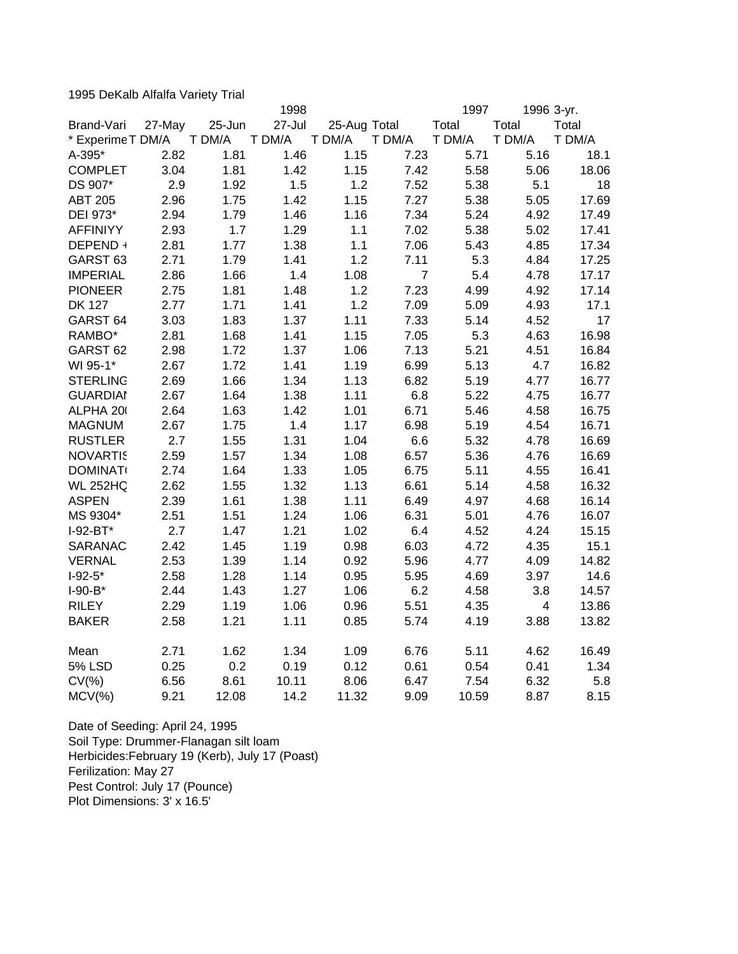1995 DeKalb Alfalfa Variety Trial

|                     |        |        | 1998   |              |                | 1997   | 1996 3-yr.              |        |
|---------------------|--------|--------|--------|--------------|----------------|--------|-------------------------|--------|
| Brand-Vari          | 27-May | 25-Jun | 27-Jul | 25-Aug Total |                | Total  | Total                   | Total  |
| * Experime T DM/A   |        | T DM/A | T DM/A | T DM/A       | T DM/A         | T DM/A | T DM/A                  | T DM/A |
| A-395*              | 2.82   | 1.81   | 1.46   | 1.15         | 7.23           | 5.71   | 5.16                    | 18.1   |
| <b>COMPLET</b>      | 3.04   | 1.81   | 1.42   | 1.15         | 7.42           | 5.58   | 5.06                    | 18.06  |
| DS 907*             | 2.9    | 1.92   | 1.5    | 1.2          | 7.52           | 5.38   | 5.1                     | 18     |
| <b>ABT 205</b>      | 2.96   | 1.75   | 1.42   | 1.15         | 7.27           | 5.38   | 5.05                    | 17.69  |
| DEI 973*            | 2.94   | 1.79   | 1.46   | 1.16         | 7.34           | 5.24   | 4.92                    | 17.49  |
| <b>AFFINIYY</b>     | 2.93   | 1.7    | 1.29   | 1.1          | 7.02           | 5.38   | 5.02                    | 17.41  |
| DEPEND +            | 2.81   | 1.77   | 1.38   | 1.1          | 7.06           | 5.43   | 4.85                    | 17.34  |
| GARST <sub>63</sub> | 2.71   | 1.79   | 1.41   | 1.2          | 7.11           | 5.3    | 4.84                    | 17.25  |
| <b>IMPERIAL</b>     | 2.86   | 1.66   | 1.4    | 1.08         | $\overline{7}$ | 5.4    | 4.78                    | 17.17  |
| <b>PIONEER</b>      | 2.75   | 1.81   | 1.48   | 1.2          | 7.23           | 4.99   | 4.92                    | 17.14  |
| <b>DK 127</b>       | 2.77   | 1.71   | 1.41   | 1.2          | 7.09           | 5.09   | 4.93                    | 17.1   |
| GARST <sub>64</sub> | 3.03   | 1.83   | 1.37   | 1.11         | 7.33           | 5.14   | 4.52                    | 17     |
| RAMBO*              | 2.81   | 1.68   | 1.41   | 1.15         | 7.05           | 5.3    | 4.63                    | 16.98  |
| GARST <sub>62</sub> | 2.98   | 1.72   | 1.37   | 1.06         | 7.13           | 5.21   | 4.51                    | 16.84  |
| WI 95-1*            | 2.67   | 1.72   | 1.41   | 1.19         | 6.99           | 5.13   | 4.7                     | 16.82  |
| <b>STERLING</b>     | 2.69   | 1.66   | 1.34   | 1.13         | 6.82           | 5.19   | 4.77                    | 16.77  |
| <b>GUARDIAI</b>     | 2.67   | 1.64   | 1.38   | 1.11         | 6.8            | 5.22   | 4.75                    | 16.77  |
| ALPHA 20            | 2.64   | 1.63   | 1.42   | 1.01         | 6.71           | 5.46   | 4.58                    | 16.75  |
| <b>MAGNUM</b>       | 2.67   | 1.75   | 1.4    | 1.17         | 6.98           | 5.19   | 4.54                    | 16.71  |
| <b>RUSTLER</b>      | 2.7    | 1.55   | 1.31   | 1.04         | 6.6            | 5.32   | 4.78                    | 16.69  |
| <b>NOVARTIS</b>     | 2.59   | 1.57   | 1.34   | 1.08         | 6.57           | 5.36   | 4.76                    | 16.69  |
| <b>DOMINAT</b>      | 2.74   | 1.64   | 1.33   | 1.05         | 6.75           | 5.11   | 4.55                    | 16.41  |
| <b>WL 252HQ</b>     | 2.62   | 1.55   | 1.32   | 1.13         | 6.61           | 5.14   | 4.58                    | 16.32  |
| <b>ASPEN</b>        | 2.39   | 1.61   | 1.38   | 1.11         | 6.49           | 4.97   | 4.68                    | 16.14  |
| MS 9304*            | 2.51   | 1.51   | 1.24   | 1.06         | 6.31           | 5.01   | 4.76                    | 16.07  |
| $I-92-BT*$          | 2.7    | 1.47   | 1.21   | 1.02         | 6.4            | 4.52   | 4.24                    | 15.15  |
| SARANAC             | 2.42   | 1.45   | 1.19   | 0.98         | 6.03           | 4.72   | 4.35                    | 15.1   |
| <b>VERNAL</b>       | 2.53   | 1.39   | 1.14   | 0.92         | 5.96           | 4.77   | 4.09                    | 14.82  |
| $I-92-5*$           | 2.58   | 1.28   | 1.14   | 0.95         | 5.95           | 4.69   | 3.97                    | 14.6   |
| $I-90-B*$           | 2.44   | 1.43   | 1.27   | 1.06         | 6.2            | 4.58   | 3.8                     | 14.57  |
| <b>RILEY</b>        | 2.29   | 1.19   | 1.06   | 0.96         | 5.51           | 4.35   | $\overline{\mathbf{4}}$ | 13.86  |
| <b>BAKER</b>        | 2.58   | 1.21   | 1.11   | 0.85         | 5.74           | 4.19   | 3.88                    | 13.82  |
| Mean                | 2.71   | 1.62   | 1.34   | 1.09         | 6.76           | 5.11   | 4.62                    | 16.49  |
| <b>5% LSD</b>       | 0.25   | 0.2    | 0.19   | 0.12         | 0.61           | 0.54   | 0.41                    | 1.34   |
| $CV(\% )$           | 6.56   | 8.61   | 10.11  | 8.06         | 6.47           | 7.54   | 6.32                    | 5.8    |
| $MCV(\%)$           | 9.21   | 12.08  | 14.2   | 11.32        | 9.09           | 10.59  | 8.87                    | 8.15   |

Date of Seeding: April 24, 1995 Soil Type: Drummer-Flanagan silt loam Herbicides:February 19 (Kerb), July 17 (Poast) Ferilization: May 27 Pest Control: July 17 (Pounce) Plot Dimensions: 3' x 16.5'